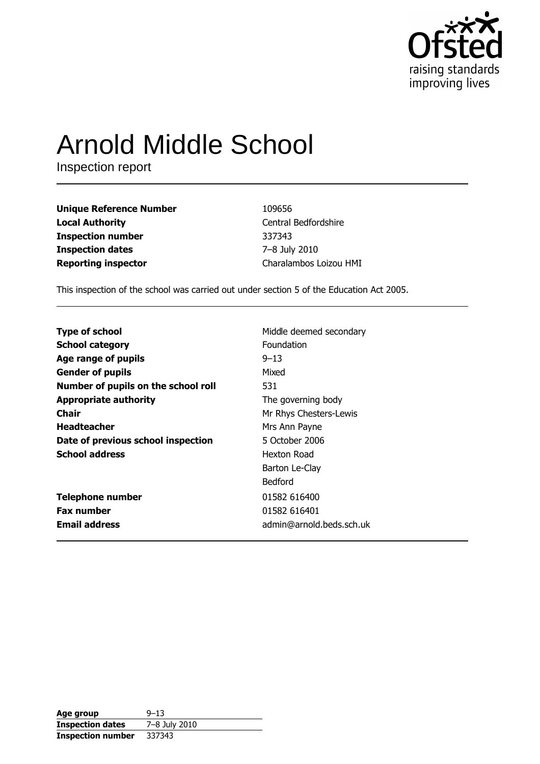

# **Arnold Middle School**

Inspection report

**Unique Reference Number Local Authority Inspection number Inspection dates Reporting inspector** 

**Email address** 

109656 Central Bedfordshire 337343 7-8 July 2010 Charalambos Loizou HMI

admin@arnold.beds.sch.uk

This inspection of the school was carried out under section 5 of the Education Act 2005.

**Type of school** Middle deemed secondary **School category** Foundation  $9 - 13$ Age range of pupils **Gender of pupils** Mixed Number of pupils on the school roll 531 **Appropriate authority** The governing body **Chair** Mr Rhys Chesters-Lewis **Headteacher** Mrs Ann Payne Date of previous school inspection 5 October 2006 **School address Hexton Road** Barton Le-Clay **Bedford Telephone number** 01582 616400 **Fax number** 01582 616401

Age group  $9 - 13$ 7-8 July 2010 **Inspection dates Inspection number** 337343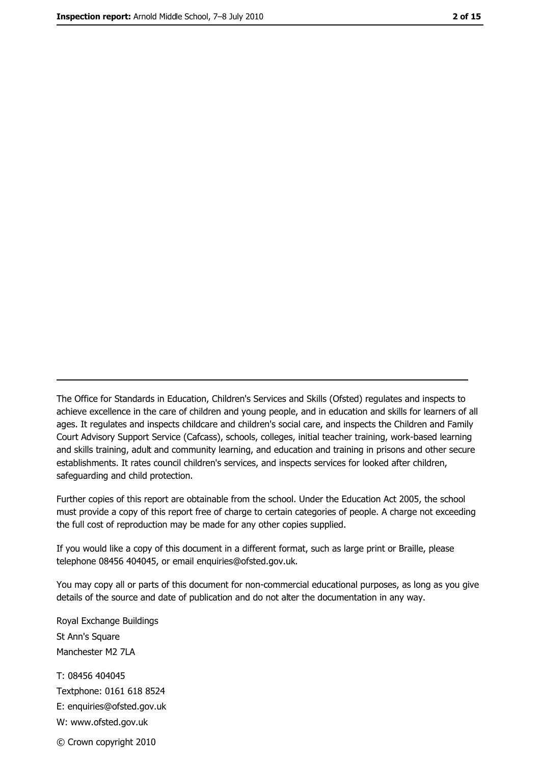The Office for Standards in Education, Children's Services and Skills (Ofsted) regulates and inspects to achieve excellence in the care of children and young people, and in education and skills for learners of all ages. It regulates and inspects childcare and children's social care, and inspects the Children and Family Court Advisory Support Service (Cafcass), schools, colleges, initial teacher training, work-based learning and skills training, adult and community learning, and education and training in prisons and other secure establishments. It rates council children's services, and inspects services for looked after children, safequarding and child protection.

Further copies of this report are obtainable from the school. Under the Education Act 2005, the school must provide a copy of this report free of charge to certain categories of people. A charge not exceeding the full cost of reproduction may be made for any other copies supplied.

If you would like a copy of this document in a different format, such as large print or Braille, please telephone 08456 404045, or email enquiries@ofsted.gov.uk.

You may copy all or parts of this document for non-commercial educational purposes, as long as you give details of the source and date of publication and do not alter the documentation in any way.

Royal Exchange Buildings St Ann's Square Manchester M2 7LA T: 08456 404045 Textphone: 0161 618 8524 E: enquiries@ofsted.gov.uk W: www.ofsted.gov.uk © Crown copyright 2010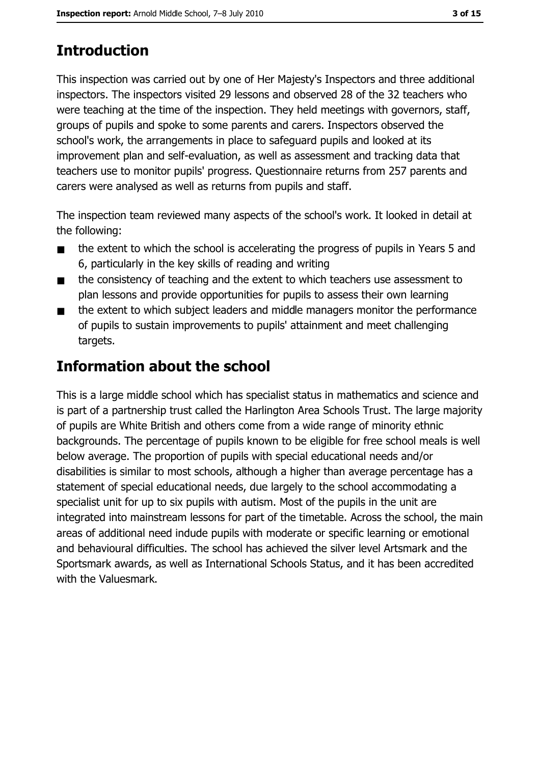# **Introduction**

This inspection was carried out by one of Her Majesty's Inspectors and three additional inspectors. The inspectors visited 29 lessons and observed 28 of the 32 teachers who were teaching at the time of the inspection. They held meetings with governors, staff, groups of pupils and spoke to some parents and carers. Inspectors observed the school's work, the arrangements in place to safeguard pupils and looked at its improvement plan and self-evaluation, as well as assessment and tracking data that teachers use to monitor pupils' progress. Questionnaire returns from 257 parents and carers were analysed as well as returns from pupils and staff.

The inspection team reviewed many aspects of the school's work. It looked in detail at the following:

- the extent to which the school is accelerating the progress of pupils in Years 5 and  $\blacksquare$ 6, particularly in the key skills of reading and writing
- the consistency of teaching and the extent to which teachers use assessment to  $\blacksquare$ plan lessons and provide opportunities for pupils to assess their own learning
- the extent to which subject leaders and middle managers monitor the performance  $\blacksquare$ of pupils to sustain improvements to pupils' attainment and meet challenging targets.

## **Information about the school**

This is a large middle school which has specialist status in mathematics and science and is part of a partnership trust called the Harlington Area Schools Trust. The large majority of pupils are White British and others come from a wide range of minority ethnic backgrounds. The percentage of pupils known to be eligible for free school meals is well below average. The proportion of pupils with special educational needs and/or disabilities is similar to most schools, although a higher than average percentage has a statement of special educational needs, due largely to the school accommodating a specialist unit for up to six pupils with autism. Most of the pupils in the unit are integrated into mainstream lessons for part of the timetable. Across the school, the main areas of additional need indude pupils with moderate or specific learning or emotional and behavioural difficulties. The school has achieved the silver level Artsmark and the Sportsmark awards, as well as International Schools Status, and it has been accredited with the Valuesmark.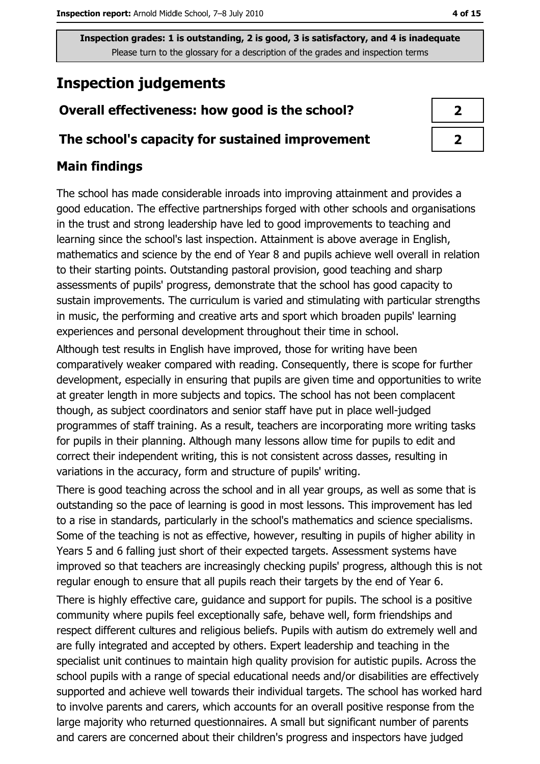# **Inspection judgements**

## Overall effectiveness: how good is the school?

#### The school's capacity for sustained improvement

## **Main findings**

The school has made considerable inroads into improving attainment and provides a good education. The effective partnerships forged with other schools and organisations in the trust and strong leadership have led to good improvements to teaching and learning since the school's last inspection. Attainment is above average in English, mathematics and science by the end of Year 8 and pupils achieve well overall in relation to their starting points. Outstanding pastoral provision, good teaching and sharp assessments of pupils' progress, demonstrate that the school has good capacity to sustain improvements. The curriculum is varied and stimulating with particular strengths in music, the performing and creative arts and sport which broaden pupils' learning experiences and personal development throughout their time in school.

Although test results in English have improved, those for writing have been comparatively weaker compared with reading. Consequently, there is scope for further development, especially in ensuring that pupils are given time and opportunities to write at greater length in more subjects and topics. The school has not been complacent though, as subject coordinators and senior staff have put in place well-judged programmes of staff training. As a result, teachers are incorporating more writing tasks for pupils in their planning. Although many lessons allow time for pupils to edit and correct their independent writing, this is not consistent across dasses, resulting in variations in the accuracy, form and structure of pupils' writing.

There is good teaching across the school and in all year groups, as well as some that is outstanding so the pace of learning is good in most lessons. This improvement has led to a rise in standards, particularly in the school's mathematics and science specialisms. Some of the teaching is not as effective, however, resulting in pupils of higher ability in Years 5 and 6 falling just short of their expected targets. Assessment systems have improved so that teachers are increasingly checking pupils' progress, although this is not regular enough to ensure that all pupils reach their targets by the end of Year 6.

There is highly effective care, guidance and support for pupils. The school is a positive community where pupils feel exceptionally safe, behave well, form friendships and respect different cultures and religious beliefs. Pupils with autism do extremely well and are fully integrated and accepted by others. Expert leadership and teaching in the specialist unit continues to maintain high quality provision for autistic pupils. Across the school pupils with a range of special educational needs and/or disabilities are effectively supported and achieve well towards their individual targets. The school has worked hard to involve parents and carers, which accounts for an overall positive response from the large majority who returned questionnaires. A small but significant number of parents and carers are concerned about their children's progress and inspectors have judged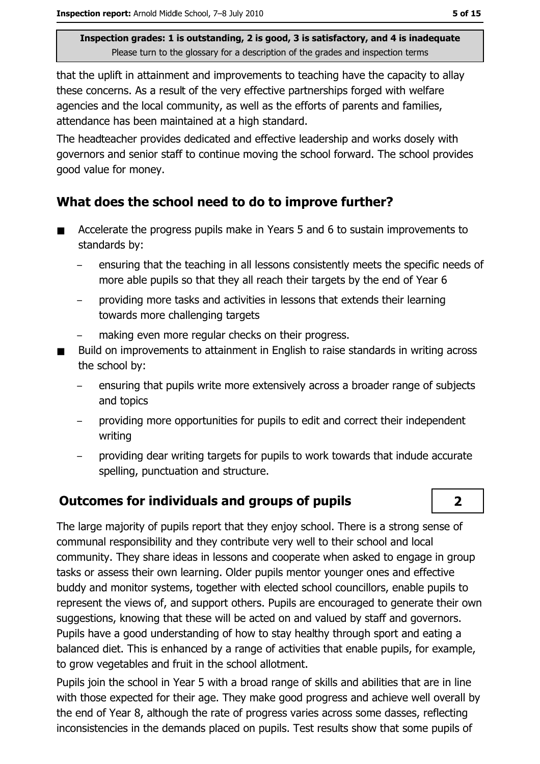that the uplift in attainment and improvements to teaching have the capacity to allay these concerns. As a result of the very effective partnerships forged with welfare agencies and the local community, as well as the efforts of parents and families, attendance has been maintained at a high standard.

The headteacher provides dedicated and effective leadership and works dosely with governors and senior staff to continue moving the school forward. The school provides good value for money.

### What does the school need to do to improve further?

- Accelerate the progress pupils make in Years 5 and 6 to sustain improvements to  $\blacksquare$ standards by:
	- ensuring that the teaching in all lessons consistently meets the specific needs of more able pupils so that they all reach their targets by the end of Year 6
	- providing more tasks and activities in lessons that extends their learning towards more challenging targets
	- making even more regular checks on their progress.
- Build on improvements to attainment in English to raise standards in writing across the school by:
	- ensuring that pupils write more extensively across a broader range of subjects and topics
	- providing more opportunities for pupils to edit and correct their independent writing
	- providing dear writing targets for pupils to work towards that indude accurate spelling, punctuation and structure.

#### **Outcomes for individuals and groups of pupils**

The large majority of pupils report that they enjoy school. There is a strong sense of communal responsibility and they contribute very well to their school and local community. They share ideas in lessons and cooperate when asked to engage in group tasks or assess their own learning. Older pupils mentor younger ones and effective buddy and monitor systems, together with elected school councillors, enable pupils to represent the views of, and support others. Pupils are encouraged to generate their own suggestions, knowing that these will be acted on and valued by staff and governors. Pupils have a good understanding of how to stay healthy through sport and eating a balanced diet. This is enhanced by a range of activities that enable pupils, for example, to grow vegetables and fruit in the school allotment.

Pupils join the school in Year 5 with a broad range of skills and abilities that are in line with those expected for their age. They make good progress and achieve well overall by the end of Year 8, although the rate of progress varies across some dasses, reflecting inconsistencies in the demands placed on pupils. Test results show that some pupils of

 $\overline{2}$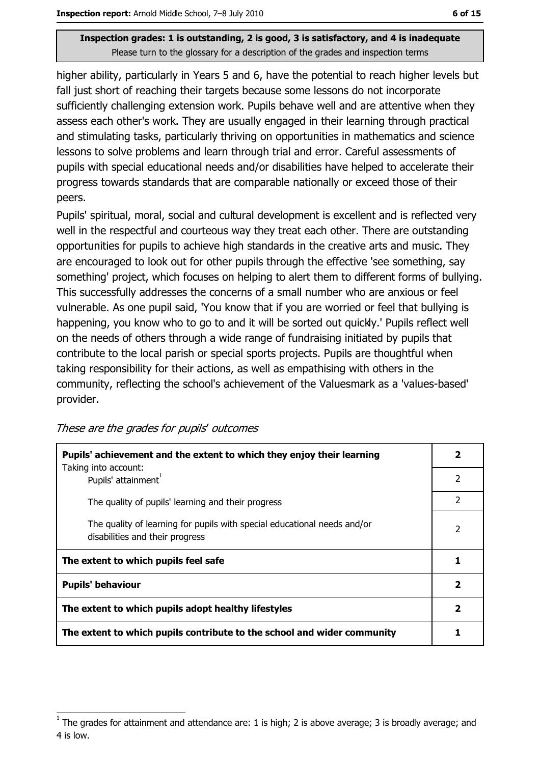higher ability, particularly in Years 5 and 6, have the potential to reach higher levels but fall just short of reaching their targets because some lessons do not incorporate sufficiently challenging extension work. Pupils behave well and are attentive when they assess each other's work. They are usually engaged in their learning through practical and stimulating tasks, particularly thriving on opportunities in mathematics and science lessons to solve problems and learn through trial and error. Careful assessments of pupils with special educational needs and/or disabilities have helped to accelerate their progress towards standards that are comparable nationally or exceed those of their peers.

Pupils' spiritual, moral, social and cultural development is excellent and is reflected very well in the respectful and courteous way they treat each other. There are outstanding opportunities for pupils to achieve high standards in the creative arts and music. They are encouraged to look out for other pupils through the effective 'see something, say something' project, which focuses on helping to alert them to different forms of bullying. This successfully addresses the concerns of a small number who are anxious or feel vulnerable. As one pupil said, 'You know that if you are worried or feel that bullying is happening, you know who to go to and it will be sorted out quickly.' Pupils reflect well on the needs of others through a wide range of fundraising initiated by pupils that contribute to the local parish or special sports projects. Pupils are thoughtful when taking responsibility for their actions, as well as empathising with others in the community, reflecting the school's achievement of the Valuesmark as a 'values-based' provider.

| Pupils' achievement and the extent to which they enjoy their learning                                       |  |
|-------------------------------------------------------------------------------------------------------------|--|
| Taking into account:<br>Pupils' attainment <sup>1</sup>                                                     |  |
| The quality of pupils' learning and their progress                                                          |  |
| The quality of learning for pupils with special educational needs and/or<br>disabilities and their progress |  |
| The extent to which pupils feel safe                                                                        |  |
| <b>Pupils' behaviour</b>                                                                                    |  |
| The extent to which pupils adopt healthy lifestyles                                                         |  |
| The extent to which pupils contribute to the school and wider community                                     |  |

The grades for attainment and attendance are: 1 is high; 2 is above average; 3 is broadly average; and 4 is low.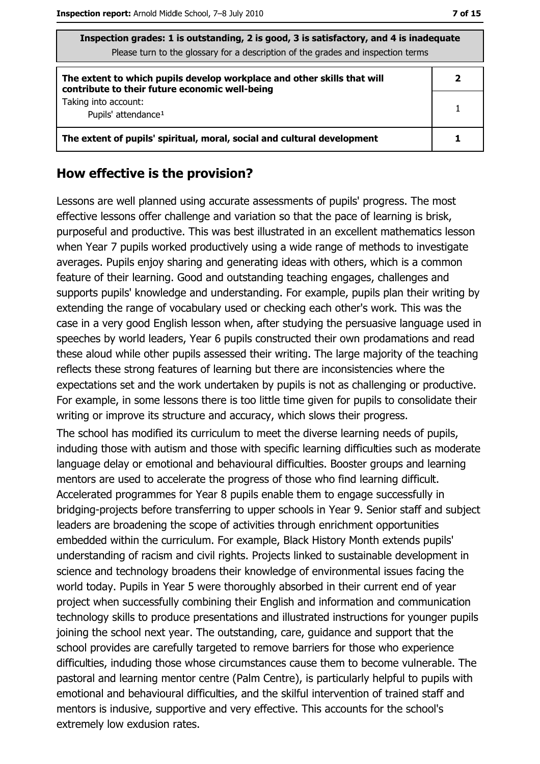| Inspection grades: 1 is outstanding, 2 is good, 3 is satisfactory, and 4 is inadequate<br>Please turn to the glossary for a description of the grades and inspection terms |   |  |
|----------------------------------------------------------------------------------------------------------------------------------------------------------------------------|---|--|
| The extent to which pupils develop workplace and other skills that will<br>contribute to their future economic well-being                                                  | 2 |  |
| Taking into account:<br>Pupils' attendance <sup>1</sup>                                                                                                                    |   |  |
| The extent of pupils' spiritual, moral, social and cultural development                                                                                                    |   |  |

#### How effective is the provision?

Lessons are well planned using accurate assessments of pupils' progress. The most effective lessons offer challenge and variation so that the pace of learning is brisk, purposeful and productive. This was best illustrated in an excellent mathematics lesson when Year 7 pupils worked productively using a wide range of methods to investigate averages. Pupils enjoy sharing and generating ideas with others, which is a common feature of their learning. Good and outstanding teaching engages, challenges and supports pupils' knowledge and understanding. For example, pupils plan their writing by extending the range of vocabulary used or checking each other's work. This was the case in a very good English lesson when, after studying the persuasive language used in speeches by world leaders, Year 6 pupils constructed their own prodamations and read these aloud while other pupils assessed their writing. The large majority of the teaching reflects these strong features of learning but there are inconsistencies where the expectations set and the work undertaken by pupils is not as challenging or productive. For example, in some lessons there is too little time given for pupils to consolidate their writing or improve its structure and accuracy, which slows their progress.

The school has modified its curriculum to meet the diverse learning needs of pupils, induding those with autism and those with specific learning difficulties such as moderate language delay or emotional and behavioural difficulties. Booster groups and learning mentors are used to accelerate the progress of those who find learning difficult. Accelerated programmes for Year 8 pupils enable them to engage successfully in bridging-projects before transferring to upper schools in Year 9. Senior staff and subject leaders are broadening the scope of activities through enrichment opportunities embedded within the curriculum. For example, Black History Month extends pupils' understanding of racism and civil rights. Projects linked to sustainable development in science and technology broadens their knowledge of environmental issues facing the world today. Pupils in Year 5 were thoroughly absorbed in their current end of year project when successfully combining their English and information and communication technology skills to produce presentations and illustrated instructions for younger pupils joining the school next year. The outstanding, care, guidance and support that the school provides are carefully targeted to remove barriers for those who experience difficulties, induding those whose circumstances cause them to become vulnerable. The pastoral and learning mentor centre (Palm Centre), is particularly helpful to pupils with emotional and behavioural difficulties, and the skilful intervention of trained staff and mentors is indusive, supportive and very effective. This accounts for the school's extremely low exdusion rates.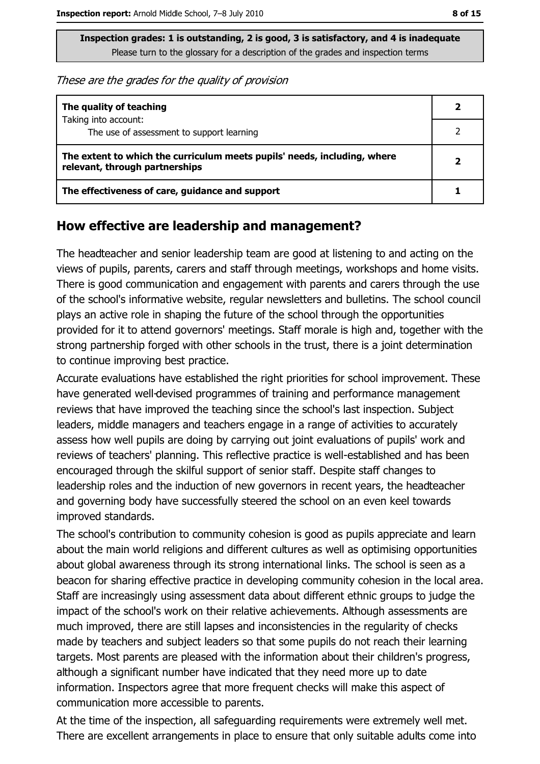These are the grades for the quality of provision

| The quality of teaching                                                                                    |  |
|------------------------------------------------------------------------------------------------------------|--|
| Taking into account:<br>The use of assessment to support learning                                          |  |
| The extent to which the curriculum meets pupils' needs, including, where<br>relevant, through partnerships |  |
| The effectiveness of care, guidance and support                                                            |  |

#### How effective are leadership and management?

The headteacher and senior leadership team are good at listening to and acting on the views of pupils, parents, carers and staff through meetings, workshops and home visits. There is good communication and engagement with parents and carers through the use of the school's informative website, regular newsletters and bulletins. The school council plays an active role in shaping the future of the school through the opportunities provided for it to attend governors' meetings. Staff morale is high and, together with the strong partnership forged with other schools in the trust, there is a joint determination to continue improving best practice.

Accurate evaluations have established the right priorities for school improvement. These have generated well-devised programmes of training and performance management reviews that have improved the teaching since the school's last inspection. Subject leaders, middle managers and teachers engage in a range of activities to accurately assess how well pupils are doing by carrying out joint evaluations of pupils' work and reviews of teachers' planning. This reflective practice is well-established and has been encouraged through the skilful support of senior staff. Despite staff changes to leadership roles and the induction of new governors in recent years, the headteacher and governing body have successfully steered the school on an even keel towards improved standards.

The school's contribution to community cohesion is good as pupils appreciate and learn about the main world religions and different cultures as well as optimising opportunities about global awareness through its strong international links. The school is seen as a beacon for sharing effective practice in developing community cohesion in the local area. Staff are increasingly using assessment data about different ethnic groups to judge the impact of the school's work on their relative achievements. Although assessments are much improved, there are still lapses and inconsistencies in the regularity of checks made by teachers and subject leaders so that some pupils do not reach their learning targets. Most parents are pleased with the information about their children's progress, although a significant number have indicated that they need more up to date information. Inspectors agree that more frequent checks will make this aspect of communication more accessible to parents.

At the time of the inspection, all safeguarding requirements were extremely well met. There are excellent arrangements in place to ensure that only suitable adults come into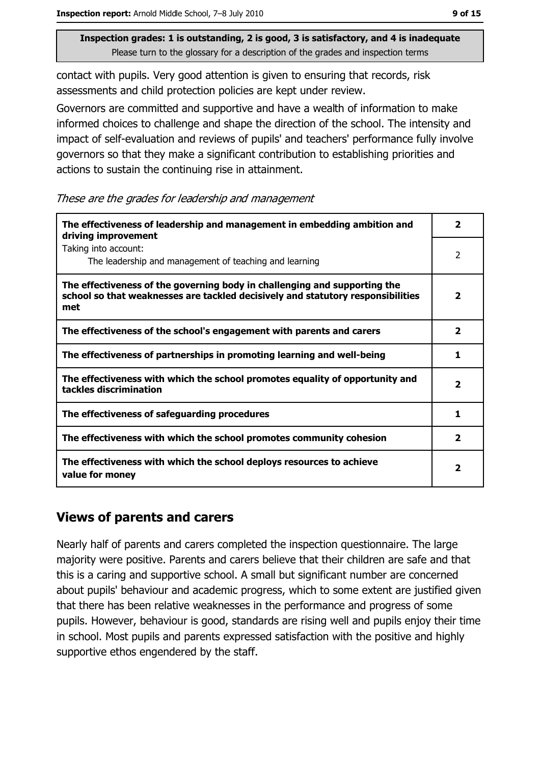contact with pupils. Very good attention is given to ensuring that records, risk assessments and child protection policies are kept under review.

Governors are committed and supportive and have a wealth of information to make informed choices to challenge and shape the direction of the school. The intensity and impact of self-evaluation and reviews of pupils' and teachers' performance fully involve governors so that they make a significant contribution to establishing priorities and actions to sustain the continuing rise in attainment.

These are the grades for leadership and management

| The effectiveness of leadership and management in embedding ambition and<br>driving improvement                                                                     |                         |  |
|---------------------------------------------------------------------------------------------------------------------------------------------------------------------|-------------------------|--|
| Taking into account:<br>The leadership and management of teaching and learning                                                                                      | 2                       |  |
| The effectiveness of the governing body in challenging and supporting the<br>school so that weaknesses are tackled decisively and statutory responsibilities<br>met |                         |  |
| The effectiveness of the school's engagement with parents and carers                                                                                                | $\overline{\mathbf{2}}$ |  |
| The effectiveness of partnerships in promoting learning and well-being                                                                                              |                         |  |
| The effectiveness with which the school promotes equality of opportunity and<br>tackles discrimination                                                              |                         |  |
| The effectiveness of safeguarding procedures                                                                                                                        |                         |  |
| The effectiveness with which the school promotes community cohesion                                                                                                 |                         |  |
| The effectiveness with which the school deploys resources to achieve<br>value for money                                                                             |                         |  |

#### **Views of parents and carers**

Nearly half of parents and carers completed the inspection questionnaire. The large majority were positive. Parents and carers believe that their children are safe and that this is a caring and supportive school. A small but significant number are concerned about pupils' behaviour and academic progress, which to some extent are justified given that there has been relative weaknesses in the performance and progress of some pupils. However, behaviour is good, standards are rising well and pupils enjoy their time in school. Most pupils and parents expressed satisfaction with the positive and highly supportive ethos engendered by the staff.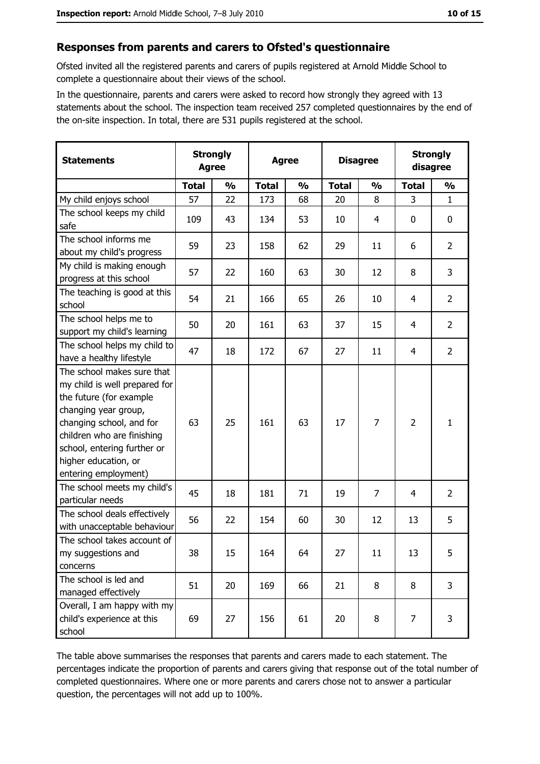#### Responses from parents and carers to Ofsted's questionnaire

Ofsted invited all the registered parents and carers of pupils registered at Arnold Middle School to complete a questionnaire about their views of the school.

In the questionnaire, parents and carers were asked to record how strongly they agreed with 13 statements about the school. The inspection team received 257 completed questionnaires by the end of the on-site inspection. In total, there are 531 pupils registered at the school.

| <b>Statements</b>                                                                                                                                                                                                                                       | <b>Strongly</b><br><b>Agree</b> |               | <b>Agree</b> |               | <b>Disagree</b> |               | <b>Strongly</b><br>disagree |                |
|---------------------------------------------------------------------------------------------------------------------------------------------------------------------------------------------------------------------------------------------------------|---------------------------------|---------------|--------------|---------------|-----------------|---------------|-----------------------------|----------------|
|                                                                                                                                                                                                                                                         | <b>Total</b>                    | $\frac{0}{0}$ | <b>Total</b> | $\frac{0}{0}$ | <b>Total</b>    | $\frac{0}{0}$ | <b>Total</b>                | $\frac{0}{0}$  |
| My child enjoys school                                                                                                                                                                                                                                  | 57                              | 22            | 173          | 68            | 20              | 8             | 3                           | $\mathbf{1}$   |
| The school keeps my child<br>safe                                                                                                                                                                                                                       | 109                             | 43            | 134          | 53            | 10              | 4             | 0                           | 0              |
| The school informs me<br>about my child's progress                                                                                                                                                                                                      | 59                              | 23            | 158          | 62            | 29              | 11            | 6                           | $\overline{2}$ |
| My child is making enough<br>progress at this school                                                                                                                                                                                                    | 57                              | 22            | 160          | 63            | 30              | 12            | 8                           | 3              |
| The teaching is good at this<br>school                                                                                                                                                                                                                  | 54                              | 21            | 166          | 65            | 26              | 10            | 4                           | $\overline{2}$ |
| The school helps me to<br>support my child's learning                                                                                                                                                                                                   | 50                              | 20            | 161          | 63            | 37              | 15            | 4                           | $\overline{2}$ |
| The school helps my child to<br>have a healthy lifestyle                                                                                                                                                                                                | 47                              | 18            | 172          | 67            | 27              | 11            | 4                           | $\overline{2}$ |
| The school makes sure that<br>my child is well prepared for<br>the future (for example<br>changing year group,<br>changing school, and for<br>children who are finishing<br>school, entering further or<br>higher education, or<br>entering employment) | 63                              | 25            | 161          | 63            | 17              | 7             | $\overline{2}$              | $\mathbf{1}$   |
| The school meets my child's<br>particular needs                                                                                                                                                                                                         | 45                              | 18            | 181          | 71            | 19              | 7             | 4                           | $\overline{2}$ |
| The school deals effectively<br>with unacceptable behaviour                                                                                                                                                                                             | 56                              | 22            | 154          | 60            | 30              | 12            | 13                          | 5              |
| The school takes account of<br>my suggestions and<br>concerns                                                                                                                                                                                           | 38                              | 15            | 164          | 64            | 27              | 11            | 13                          | 5              |
| The school is led and<br>managed effectively                                                                                                                                                                                                            | 51                              | 20            | 169          | 66            | 21              | 8             | 8                           | 3              |
| Overall, I am happy with my<br>child's experience at this<br>school                                                                                                                                                                                     | 69                              | 27            | 156          | 61            | 20              | 8             | 7                           | 3              |

The table above summarises the responses that parents and carers made to each statement. The percentages indicate the proportion of parents and carers giving that response out of the total number of completed questionnaires. Where one or more parents and carers chose not to answer a particular question, the percentages will not add up to 100%.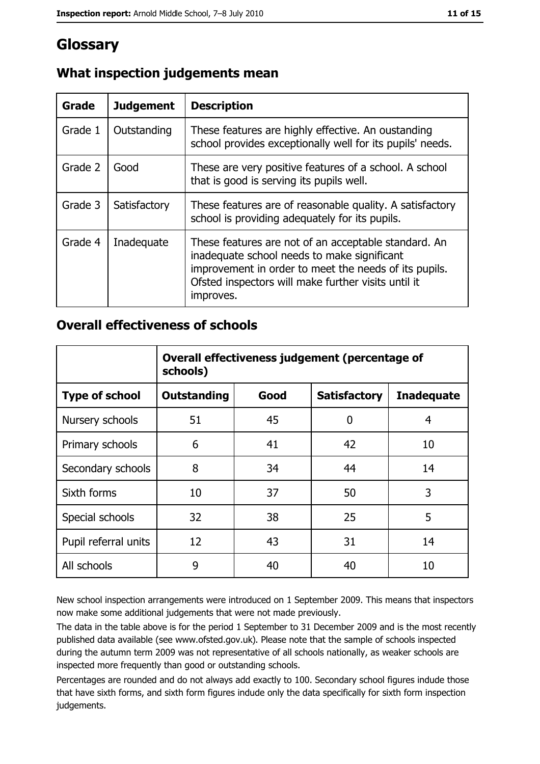## Glossary

| Grade   | <b>Judgement</b> | <b>Description</b>                                                                                                                                                                                                               |  |
|---------|------------------|----------------------------------------------------------------------------------------------------------------------------------------------------------------------------------------------------------------------------------|--|
| Grade 1 | Outstanding      | These features are highly effective. An oustanding<br>school provides exceptionally well for its pupils' needs.                                                                                                                  |  |
| Grade 2 | Good             | These are very positive features of a school. A school<br>that is good is serving its pupils well.                                                                                                                               |  |
| Grade 3 | Satisfactory     | These features are of reasonable quality. A satisfactory<br>school is providing adequately for its pupils.                                                                                                                       |  |
| Grade 4 | Inadequate       | These features are not of an acceptable standard. An<br>inadequate school needs to make significant<br>improvement in order to meet the needs of its pupils.<br>Ofsted inspectors will make further visits until it<br>improves. |  |

#### What inspection judgements mean

#### **Overall effectiveness of schools**

|                       | Overall effectiveness judgement (percentage of<br>schools) |      |                     |                   |
|-----------------------|------------------------------------------------------------|------|---------------------|-------------------|
| <b>Type of school</b> | <b>Outstanding</b>                                         | Good | <b>Satisfactory</b> | <b>Inadequate</b> |
| Nursery schools       | 51                                                         | 45   | 0                   | 4                 |
| Primary schools       | 6                                                          | 41   | 42                  | 10                |
| Secondary schools     | 8                                                          | 34   | 44                  | 14                |
| Sixth forms           | 10                                                         | 37   | 50                  | 3                 |
| Special schools       | 32                                                         | 38   | 25                  | 5                 |
| Pupil referral units  | 12                                                         | 43   | 31                  | 14                |
| All schools           | 9                                                          | 40   | 40                  | 10                |

New school inspection arrangements were introduced on 1 September 2009. This means that inspectors now make some additional judgements that were not made previously.

The data in the table above is for the period 1 September to 31 December 2009 and is the most recently published data available (see www.ofsted.gov.uk). Please note that the sample of schools inspected during the autumn term 2009 was not representative of all schools nationally, as weaker schools are inspected more frequently than good or outstanding schools.

Percentages are rounded and do not always add exactly to 100. Secondary school figures indude those that have sixth forms, and sixth form figures indude only the data specifically for sixth form inspection judgements.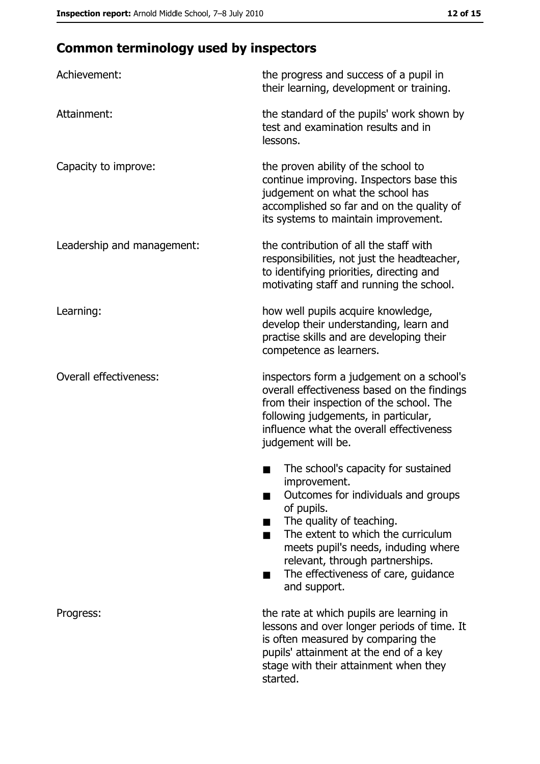# **Common terminology used by inspectors**

| Achievement:                  | the progress and success of a pupil in<br>their learning, development or training.                                                                                                                                                                                                                          |
|-------------------------------|-------------------------------------------------------------------------------------------------------------------------------------------------------------------------------------------------------------------------------------------------------------------------------------------------------------|
| Attainment:                   | the standard of the pupils' work shown by<br>test and examination results and in<br>lessons.                                                                                                                                                                                                                |
| Capacity to improve:          | the proven ability of the school to<br>continue improving. Inspectors base this<br>judgement on what the school has<br>accomplished so far and on the quality of<br>its systems to maintain improvement.                                                                                                    |
| Leadership and management:    | the contribution of all the staff with<br>responsibilities, not just the headteacher,<br>to identifying priorities, directing and<br>motivating staff and running the school.                                                                                                                               |
| Learning:                     | how well pupils acquire knowledge,<br>develop their understanding, learn and<br>practise skills and are developing their<br>competence as learners.                                                                                                                                                         |
| <b>Overall effectiveness:</b> | inspectors form a judgement on a school's<br>overall effectiveness based on the findings<br>from their inspection of the school. The<br>following judgements, in particular,<br>influence what the overall effectiveness<br>judgement will be.                                                              |
|                               | The school's capacity for sustained<br>improvement.<br>Outcomes for individuals and groups<br>of pupils.<br>The quality of teaching.<br>The extent to which the curriculum<br>meets pupil's needs, induding where<br>relevant, through partnerships.<br>The effectiveness of care, guidance<br>and support. |
| Progress:                     | the rate at which pupils are learning in<br>lessons and over longer periods of time. It<br>is often measured by comparing the<br>pupils' attainment at the end of a key<br>stage with their attainment when they<br>started.                                                                                |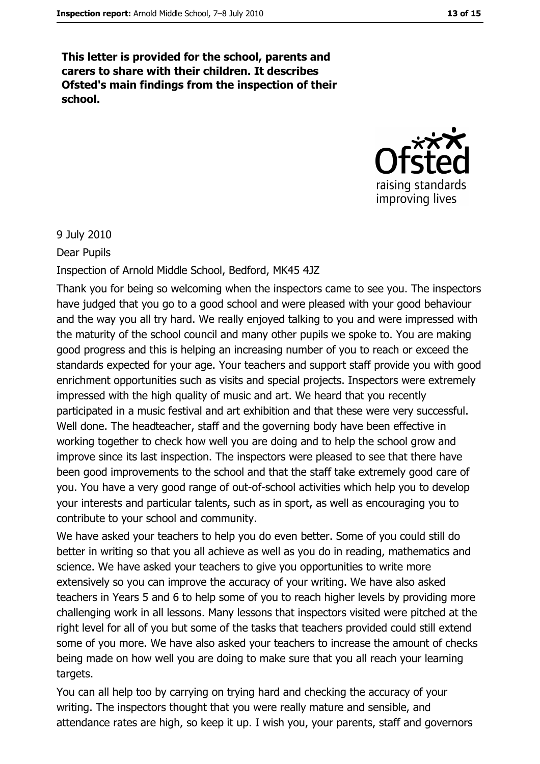This letter is provided for the school, parents and carers to share with their children. It describes Ofsted's main findings from the inspection of their school.



#### 9 July 2010

Dear Pupils

Inspection of Arnold Middle School, Bedford, MK45 4JZ

Thank you for being so welcoming when the inspectors came to see you. The inspectors have judged that you go to a good school and were pleased with your good behaviour and the way you all try hard. We really enjoyed talking to you and were impressed with the maturity of the school council and many other pupils we spoke to. You are making good progress and this is helping an increasing number of you to reach or exceed the standards expected for your age. Your teachers and support staff provide you with good enrichment opportunities such as visits and special projects. Inspectors were extremely impressed with the high quality of music and art. We heard that you recently participated in a music festival and art exhibition and that these were very successful. Well done. The headteacher, staff and the governing body have been effective in working together to check how well you are doing and to help the school grow and improve since its last inspection. The inspectors were pleased to see that there have been good improvements to the school and that the staff take extremely good care of you. You have a very good range of out-of-school activities which help you to develop your interests and particular talents, such as in sport, as well as encouraging you to contribute to your school and community.

We have asked your teachers to help you do even better. Some of you could still do better in writing so that you all achieve as well as you do in reading, mathematics and science. We have asked your teachers to give you opportunities to write more extensively so you can improve the accuracy of your writing. We have also asked teachers in Years 5 and 6 to help some of you to reach higher levels by providing more challenging work in all lessons. Many lessons that inspectors visited were pitched at the right level for all of you but some of the tasks that teachers provided could still extend some of you more. We have also asked your teachers to increase the amount of checks being made on how well you are doing to make sure that you all reach your learning targets.

You can all help too by carrying on trying hard and checking the accuracy of your writing. The inspectors thought that you were really mature and sensible, and attendance rates are high, so keep it up. I wish you, your parents, staff and governors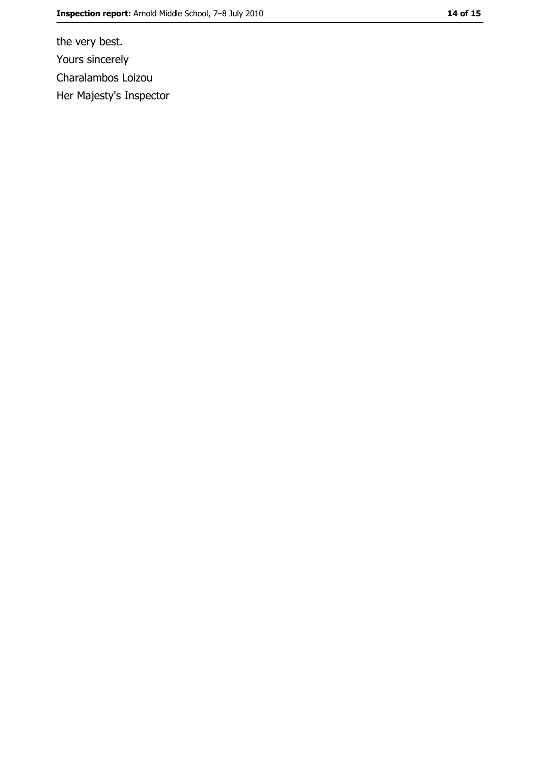the very best. Yours sincerely Charalambos Loizou Her Majesty's Inspector